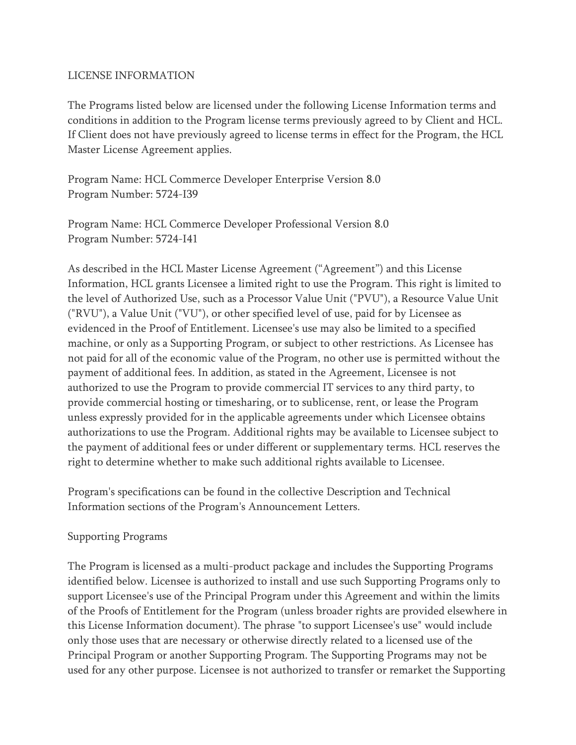#### LICENSE INFORMATION

The Programs listed below are licensed under the following License Information terms and conditions in addition to the Program license terms previously agreed to by Client and HCL. If Client does not have previously agreed to license terms in effect for the Program, the HCL Master License Agreement applies.

Program Name: HCL Commerce Developer Enterprise Version 8.0 Program Number: 5724-I39

Program Name: HCL Commerce Developer Professional Version 8.0 Program Number: 5724-I41

As described in the HCL Master License Agreement ("Agreement") and this License Information, HCL grants Licensee a limited right to use the Program. This right is limited to the level of Authorized Use, such as a Processor Value Unit ("PVU"), a Resource Value Unit ("RVU"), a Value Unit ("VU"), or other specified level of use, paid for by Licensee as evidenced in the Proof of Entitlement. Licensee's use may also be limited to a specified machine, or only as a Supporting Program, or subject to other restrictions. As Licensee has not paid for all of the economic value of the Program, no other use is permitted without the payment of additional fees. In addition, as stated in the Agreement, Licensee is not authorized to use the Program to provide commercial IT services to any third party, to provide commercial hosting or timesharing, or to sublicense, rent, or lease the Program unless expressly provided for in the applicable agreements under which Licensee obtains authorizations to use the Program. Additional rights may be available to Licensee subject to the payment of additional fees or under different or supplementary terms. HCL reserves the right to determine whether to make such additional rights available to Licensee.

Program's specifications can be found in the collective Description and Technical Information sections of the Program's Announcement Letters.

#### Supporting Programs

The Program is licensed as a multi-product package and includes the Supporting Programs identified below. Licensee is authorized to install and use such Supporting Programs only to support Licensee's use of the Principal Program under this Agreement and within the limits of the Proofs of Entitlement for the Program (unless broader rights are provided elsewhere in this License Information document). The phrase "to support Licensee's use" would include only those uses that are necessary or otherwise directly related to a licensed use of the Principal Program or another Supporting Program. The Supporting Programs may not be used for any other purpose. Licensee is not authorized to transfer or remarket the Supporting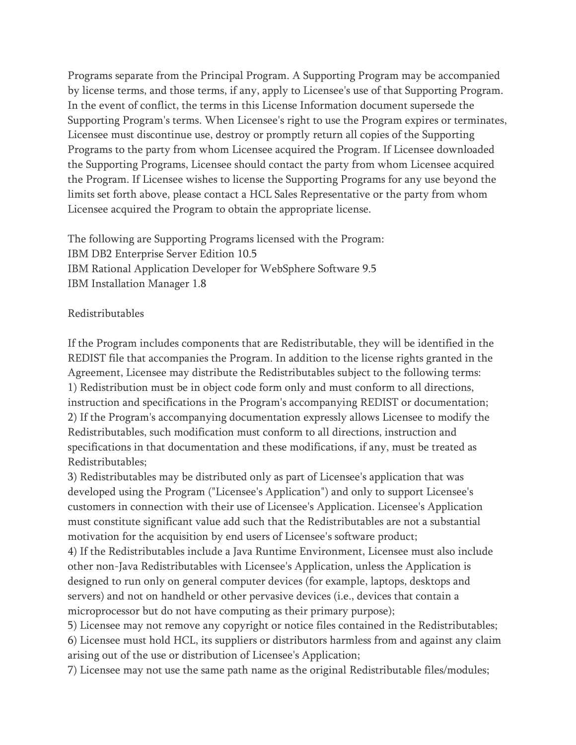Programs separate from the Principal Program. A Supporting Program may be accompanied by license terms, and those terms, if any, apply to Licensee's use of that Supporting Program. In the event of conflict, the terms in this License Information document supersede the Supporting Program's terms. When Licensee's right to use the Program expires or terminates, Licensee must discontinue use, destroy or promptly return all copies of the Supporting Programs to the party from whom Licensee acquired the Program. If Licensee downloaded the Supporting Programs, Licensee should contact the party from whom Licensee acquired the Program. If Licensee wishes to license the Supporting Programs for any use beyond the limits set forth above, please contact a HCL Sales Representative or the party from whom Licensee acquired the Program to obtain the appropriate license.

The following are Supporting Programs licensed with the Program: IBM DB2 Enterprise Server Edition 10.5 IBM Rational Application Developer for WebSphere Software 9.5 IBM Installation Manager 1.8

#### Redistributables

If the Program includes components that are Redistributable, they will be identified in the REDIST file that accompanies the Program. In addition to the license rights granted in the Agreement, Licensee may distribute the Redistributables subject to the following terms: 1) Redistribution must be in object code form only and must conform to all directions, instruction and specifications in the Program's accompanying REDIST or documentation; 2) If the Program's accompanying documentation expressly allows Licensee to modify the Redistributables, such modification must conform to all directions, instruction and specifications in that documentation and these modifications, if any, must be treated as Redistributables;

3) Redistributables may be distributed only as part of Licensee's application that was developed using the Program ("Licensee's Application") and only to support Licensee's customers in connection with their use of Licensee's Application. Licensee's Application must constitute significant value add such that the Redistributables are not a substantial motivation for the acquisition by end users of Licensee's software product;

4) If the Redistributables include a Java Runtime Environment, Licensee must also include other non-Java Redistributables with Licensee's Application, unless the Application is designed to run only on general computer devices (for example, laptops, desktops and servers) and not on handheld or other pervasive devices (i.e., devices that contain a microprocessor but do not have computing as their primary purpose);

5) Licensee may not remove any copyright or notice files contained in the Redistributables; 6) Licensee must hold HCL, its suppliers or distributors harmless from and against any claim arising out of the use or distribution of Licensee's Application;

7) Licensee may not use the same path name as the original Redistributable files/modules;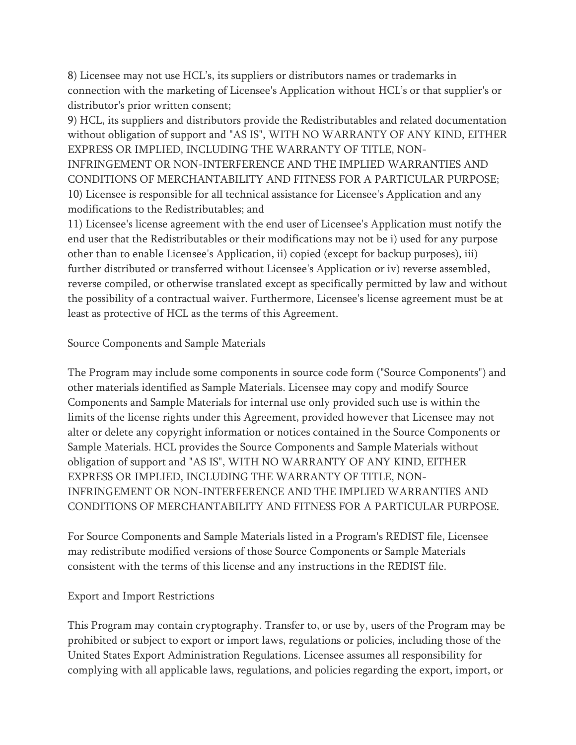8) Licensee may not use HCL's, its suppliers or distributors names or trademarks in connection with the marketing of Licensee's Application without HCL's or that supplier's or distributor's prior written consent;

9) HCL, its suppliers and distributors provide the Redistributables and related documentation without obligation of support and "AS IS", WITH NO WARRANTY OF ANY KIND, EITHER EXPRESS OR IMPLIED, INCLUDING THE WARRANTY OF TITLE, NON-INFRINGEMENT OR NON-INTERFERENCE AND THE IMPLIED WARRANTIES AND CONDITIONS OF MERCHANTABILITY AND FITNESS FOR A PARTICULAR PURPOSE; 10) Licensee is responsible for all technical assistance for Licensee's Application and any modifications to the Redistributables; and

11) Licensee's license agreement with the end user of Licensee's Application must notify the end user that the Redistributables or their modifications may not be i) used for any purpose other than to enable Licensee's Application, ii) copied (except for backup purposes), iii) further distributed or transferred without Licensee's Application or iv) reverse assembled, reverse compiled, or otherwise translated except as specifically permitted by law and without the possibility of a contractual waiver. Furthermore, Licensee's license agreement must be at least as protective of HCL as the terms of this Agreement.

### Source Components and Sample Materials

The Program may include some components in source code form ("Source Components") and other materials identified as Sample Materials. Licensee may copy and modify Source Components and Sample Materials for internal use only provided such use is within the limits of the license rights under this Agreement, provided however that Licensee may not alter or delete any copyright information or notices contained in the Source Components or Sample Materials. HCL provides the Source Components and Sample Materials without obligation of support and "AS IS", WITH NO WARRANTY OF ANY KIND, EITHER EXPRESS OR IMPLIED, INCLUDING THE WARRANTY OF TITLE, NON-INFRINGEMENT OR NON-INTERFERENCE AND THE IMPLIED WARRANTIES AND CONDITIONS OF MERCHANTABILITY AND FITNESS FOR A PARTICULAR PURPOSE.

For Source Components and Sample Materials listed in a Program's REDIST file, Licensee may redistribute modified versions of those Source Components or Sample Materials consistent with the terms of this license and any instructions in the REDIST file.

#### Export and Import Restrictions

This Program may contain cryptography. Transfer to, or use by, users of the Program may be prohibited or subject to export or import laws, regulations or policies, including those of the United States Export Administration Regulations. Licensee assumes all responsibility for complying with all applicable laws, regulations, and policies regarding the export, import, or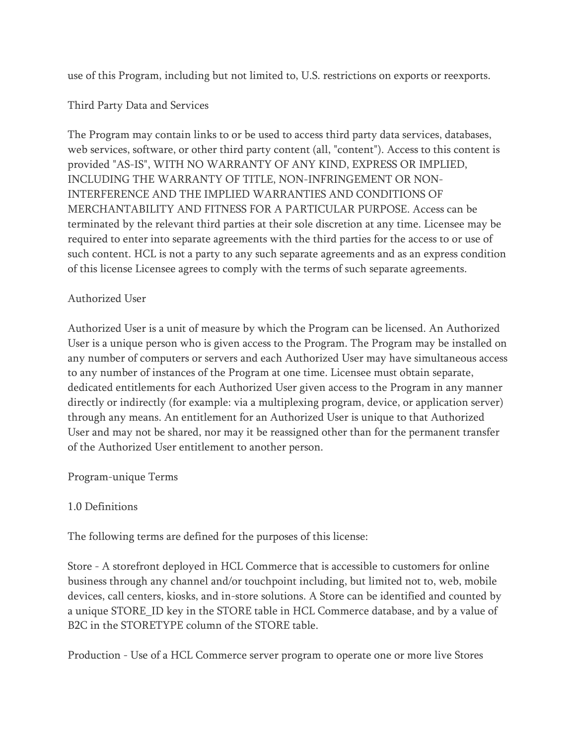use of this Program, including but not limited to, U.S. restrictions on exports or reexports.

### Third Party Data and Services

The Program may contain links to or be used to access third party data services, databases, web services, software, or other third party content (all, "content"). Access to this content is provided "AS-IS", WITH NO WARRANTY OF ANY KIND, EXPRESS OR IMPLIED, INCLUDING THE WARRANTY OF TITLE, NON-INFRINGEMENT OR NON-INTERFERENCE AND THE IMPLIED WARRANTIES AND CONDITIONS OF MERCHANTABILITY AND FITNESS FOR A PARTICULAR PURPOSE. Access can be terminated by the relevant third parties at their sole discretion at any time. Licensee may be required to enter into separate agreements with the third parties for the access to or use of such content. HCL is not a party to any such separate agreements and as an express condition of this license Licensee agrees to comply with the terms of such separate agreements.

### Authorized User

Authorized User is a unit of measure by which the Program can be licensed. An Authorized User is a unique person who is given access to the Program. The Program may be installed on any number of computers or servers and each Authorized User may have simultaneous access to any number of instances of the Program at one time. Licensee must obtain separate, dedicated entitlements for each Authorized User given access to the Program in any manner directly or indirectly (for example: via a multiplexing program, device, or application server) through any means. An entitlement for an Authorized User is unique to that Authorized User and may not be shared, nor may it be reassigned other than for the permanent transfer of the Authorized User entitlement to another person.

Program-unique Terms

## 1.0 Definitions

The following terms are defined for the purposes of this license:

Store - A storefront deployed in HCL Commerce that is accessible to customers for online business through any channel and/or touchpoint including, but limited not to, web, mobile devices, call centers, kiosks, and in-store solutions. A Store can be identified and counted by a unique STORE\_ID key in the STORE table in HCL Commerce database, and by a value of B2C in the STORETYPE column of the STORE table.

Production - Use of a HCL Commerce server program to operate one or more live Stores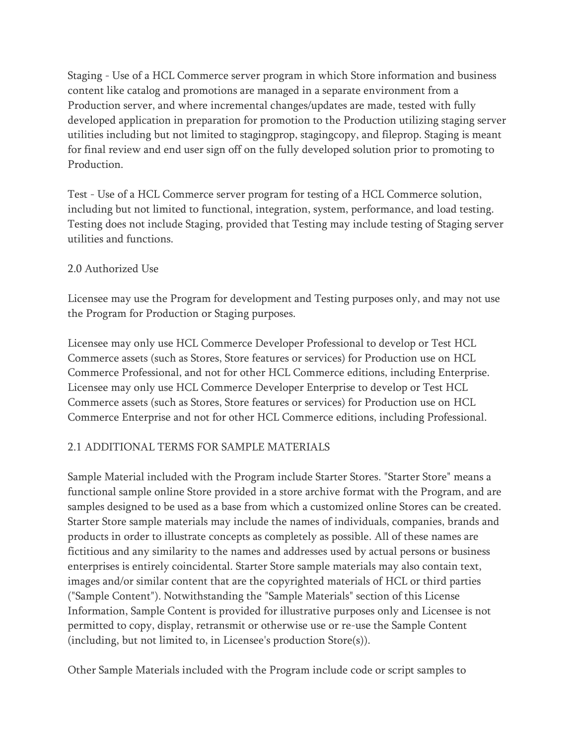Staging - Use of a HCL Commerce server program in which Store information and business content like catalog and promotions are managed in a separate environment from a Production server, and where incremental changes/updates are made, tested with fully developed application in preparation for promotion to the Production utilizing staging server utilities including but not limited to stagingprop, stagingcopy, and fileprop. Staging is meant for final review and end user sign off on the fully developed solution prior to promoting to Production.

Test - Use of a HCL Commerce server program for testing of a HCL Commerce solution, including but not limited to functional, integration, system, performance, and load testing. Testing does not include Staging, provided that Testing may include testing of Staging server utilities and functions.

## 2.0 Authorized Use

Licensee may use the Program for development and Testing purposes only, and may not use the Program for Production or Staging purposes.

Licensee may only use HCL Commerce Developer Professional to develop or Test HCL Commerce assets (such as Stores, Store features or services) for Production use on HCL Commerce Professional, and not for other HCL Commerce editions, including Enterprise. Licensee may only use HCL Commerce Developer Enterprise to develop or Test HCL Commerce assets (such as Stores, Store features or services) for Production use on HCL Commerce Enterprise and not for other HCL Commerce editions, including Professional.

## 2.1 ADDITIONAL TERMS FOR SAMPLE MATERIALS

Sample Material included with the Program include Starter Stores. "Starter Store" means a functional sample online Store provided in a store archive format with the Program, and are samples designed to be used as a base from which a customized online Stores can be created. Starter Store sample materials may include the names of individuals, companies, brands and products in order to illustrate concepts as completely as possible. All of these names are fictitious and any similarity to the names and addresses used by actual persons or business enterprises is entirely coincidental. Starter Store sample materials may also contain text, images and/or similar content that are the copyrighted materials of HCL or third parties ("Sample Content"). Notwithstanding the "Sample Materials" section of this License Information, Sample Content is provided for illustrative purposes only and Licensee is not permitted to copy, display, retransmit or otherwise use or re-use the Sample Content (including, but not limited to, in Licensee's production Store(s)).

Other Sample Materials included with the Program include code or script samples to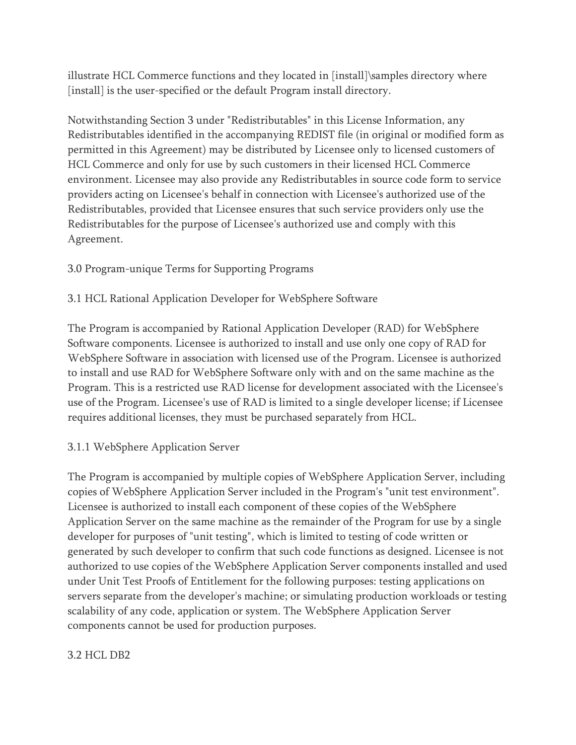illustrate HCL Commerce functions and they located in [install]\samples directory where [install] is the user-specified or the default Program install directory.

Notwithstanding Section 3 under "Redistributables" in this License Information, any Redistributables identified in the accompanying REDIST file (in original or modified form as permitted in this Agreement) may be distributed by Licensee only to licensed customers of HCL Commerce and only for use by such customers in their licensed HCL Commerce environment. Licensee may also provide any Redistributables in source code form to service providers acting on Licensee's behalf in connection with Licensee's authorized use of the Redistributables, provided that Licensee ensures that such service providers only use the Redistributables for the purpose of Licensee's authorized use and comply with this Agreement.

# 3.0 Program-unique Terms for Supporting Programs

# 3.1 HCL Rational Application Developer for WebSphere Software

The Program is accompanied by Rational Application Developer (RAD) for WebSphere Software components. Licensee is authorized to install and use only one copy of RAD for WebSphere Software in association with licensed use of the Program. Licensee is authorized to install and use RAD for WebSphere Software only with and on the same machine as the Program. This is a restricted use RAD license for development associated with the Licensee's use of the Program. Licensee's use of RAD is limited to a single developer license; if Licensee requires additional licenses, they must be purchased separately from HCL.

## 3.1.1 WebSphere Application Server

The Program is accompanied by multiple copies of WebSphere Application Server, including copies of WebSphere Application Server included in the Program's "unit test environment". Licensee is authorized to install each component of these copies of the WebSphere Application Server on the same machine as the remainder of the Program for use by a single developer for purposes of "unit testing", which is limited to testing of code written or generated by such developer to confirm that such code functions as designed. Licensee is not authorized to use copies of the WebSphere Application Server components installed and used under Unit Test Proofs of Entitlement for the following purposes: testing applications on servers separate from the developer's machine; or simulating production workloads or testing scalability of any code, application or system. The WebSphere Application Server components cannot be used for production purposes.

## 3.2 HCL DB2